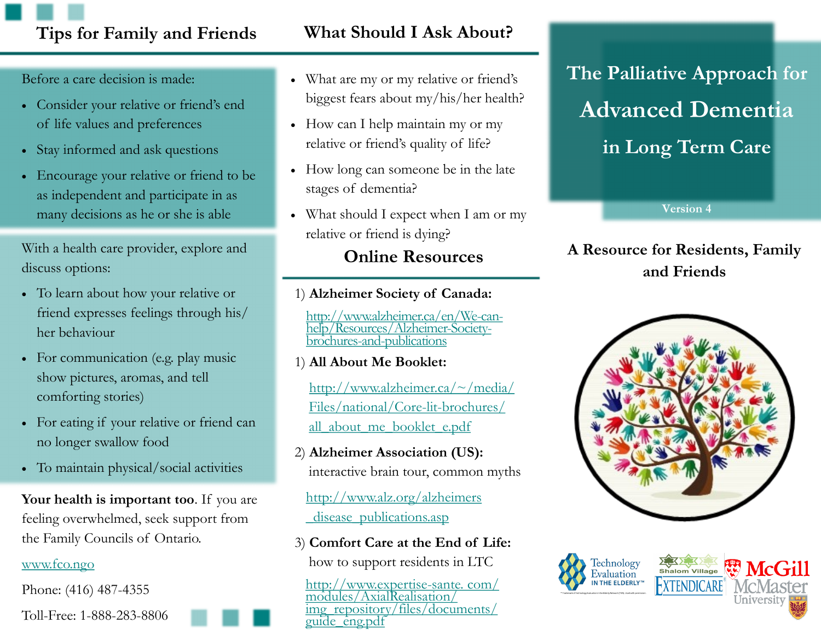# **Tips for Family and Friends What Should I Ask About?**

Before a care decision is made:

- Consider your relative or friend's end of life values and preferences
- Stay informed and ask questions
- Encourage your relative or friend to be as independent and participate in as many decisions as he or she is able

With a health care provider, explore and discuss options:

- To learn about how your relative or friend expresses feelings through his/ her behaviour
- For communication (e.g. play music show pictures, aromas, and tell comforting stories)
- For eating if your relative or friend can no longer swallow food
- To maintain physical/social activities

**Your health is important too**. If you are feeling overwhelmed, seek support from the Family Councils of Ontario.

### [www.fco.ngo](http://www.fco.ngo)

Phone: (416) 487-4355



- What are my or my relative or friend's biggest fears about my/his/her health?
- How can I help maintain my or my relative or friend's quality of life?
- How long can someone be in the late stages of dementia?
- What should I expect when I am or my relative or friend is dying?

### **Online Resources**

### 1) **Alzheimer Society of Canada:**

[http://www.alzheimer.ca/en/We-can](http://www.alzheimer.ca/en/We-can-help/Resources/Alzheimer-Society-brochures-and-publications)[help/Resources/Alzheimer-Society](http://www.alzheimer.ca/en/We-can-help/Resources/Alzheimer-Society-brochures-and-publications)[brochures-and-publications](http://www.alzheimer.ca/en/We-can-help/Resources/Alzheimer-Society-brochures-and-publications)

1) **All About Me Booklet:**

[http://www.alzheimer.ca/~/media/](http://www.alzheimer.ca/~/media/Files/national/Core-lit-brochures/all_about_me_booklet_e.pdf) [Files/national/Core-lit-brochures/](http://www.alzheimer.ca/~/media/Files/national/Core-lit-brochures/all_about_me_booklet_e.pdf) all about me booklet e.pdf

2) **Alzheimer Association (US):** interactive brain tour, common myths

[http://www.alz.org/alzheimers](http://www.alz.org/alzheimers%20_disease_publications.aspC:/Users/tvn2015/Documents/Bluetooth%20Folder)  [\\_disease\\_publications.asp](http://www.alz.org/alzheimers%20_disease_publications.aspC:/Users/tvn2015/Documents/Bluetooth%20Folder)

3) **Comfort Care at the End of Life:** how to support residents in LTC

[http://www.expertise-sante. com/](http://www.expertise-sante.com/modules/AxialRealisation/img_repository/files/documents/guide_eng.pdf) [modules/AxialRealisation/](http://www.expertise-sante.com/modules/AxialRealisation/img_repository/files/documents/guide_eng.pdf) [img\\_repository/files/documents/](http://www.expertise-sante.com/modules/AxialRealisation/img_repository/files/documents/guide_eng.pdf) guide eng.pdf

# **The Palliative Approach for Advanced Dementia in Long Term Care**

**Version 4**

### **A Resource for Residents, Family and Friends**